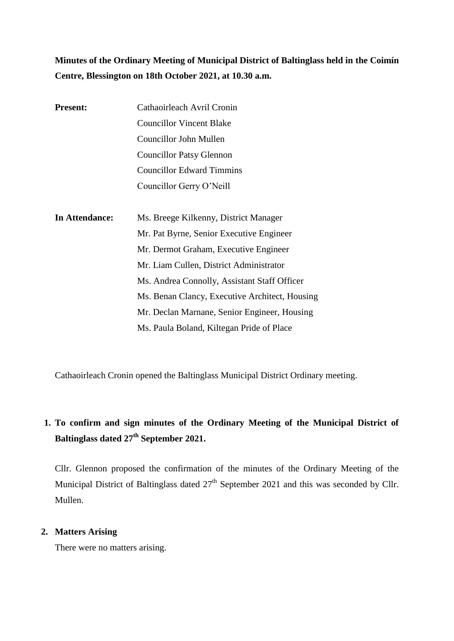**Minutes of the Ordinary Meeting of Municipal District of Baltinglass held in the Coimín Centre, Blessington on 18th October 2021, at 10.30 a.m.**

| <b>Present:</b> | Cathaoirleach Avril Cronin                     |
|-----------------|------------------------------------------------|
|                 | <b>Councillor Vincent Blake</b>                |
|                 | <b>Councillor John Mullen</b>                  |
|                 | <b>Councillor Patsy Glennon</b>                |
|                 | <b>Councillor Edward Timmins</b>               |
|                 | Councillor Gerry O'Neill                       |
|                 |                                                |
| In Attendance:  | Ms. Breege Kilkenny, District Manager          |
|                 | Mr. Pat Byrne, Senior Executive Engineer       |
|                 | Mr. Dermot Graham, Executive Engineer          |
|                 | Mr. Liam Cullen, District Administrator        |
|                 | Ms. Andrea Connolly, Assistant Staff Officer   |
|                 | Ms. Benan Clancy, Executive Architect, Housing |
|                 | Mr. Declan Marnane, Senior Engineer, Housing   |
|                 | Ms. Paula Boland, Kiltegan Pride of Place      |

Cathaoirleach Cronin opened the Baltinglass Municipal District Ordinary meeting.

# **1. To confirm and sign minutes of the Ordinary Meeting of the Municipal District of Baltinglass dated 27 th September 2021.**

Cllr. Glennon proposed the confirmation of the minutes of the Ordinary Meeting of the Municipal District of Baltinglass dated 27<sup>th</sup> September 2021 and this was seconded by Cllr. Mullen.

### **2. Matters Arising**

There were no matters arising.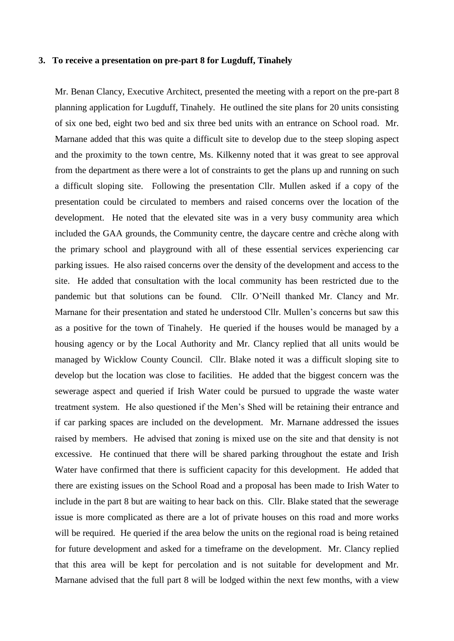#### **3. To receive a presentation on pre-part 8 for Lugduff, Tinahely**

Mr. Benan Clancy, Executive Architect, presented the meeting with a report on the pre-part 8 planning application for Lugduff, Tinahely. He outlined the site plans for 20 units consisting of six one bed, eight two bed and six three bed units with an entrance on School road. Mr. Marnane added that this was quite a difficult site to develop due to the steep sloping aspect and the proximity to the town centre, Ms. Kilkenny noted that it was great to see approval from the department as there were a lot of constraints to get the plans up and running on such a difficult sloping site. Following the presentation Cllr. Mullen asked if a copy of the presentation could be circulated to members and raised concerns over the location of the development. He noted that the elevated site was in a very busy community area which included the GAA grounds, the Community centre, the daycare centre and crèche along with the primary school and playground with all of these essential services experiencing car parking issues. He also raised concerns over the density of the development and access to the site. He added that consultation with the local community has been restricted due to the pandemic but that solutions can be found. Cllr. O'Neill thanked Mr. Clancy and Mr. Marnane for their presentation and stated he understood Cllr. Mullen's concerns but saw this as a positive for the town of Tinahely. He queried if the houses would be managed by a housing agency or by the Local Authority and Mr. Clancy replied that all units would be managed by Wicklow County Council. Cllr. Blake noted it was a difficult sloping site to develop but the location was close to facilities. He added that the biggest concern was the sewerage aspect and queried if Irish Water could be pursued to upgrade the waste water treatment system. He also questioned if the Men's Shed will be retaining their entrance and if car parking spaces are included on the development. Mr. Marnane addressed the issues raised by members. He advised that zoning is mixed use on the site and that density is not excessive. He continued that there will be shared parking throughout the estate and Irish Water have confirmed that there is sufficient capacity for this development. He added that there are existing issues on the School Road and a proposal has been made to Irish Water to include in the part 8 but are waiting to hear back on this. Cllr. Blake stated that the sewerage issue is more complicated as there are a lot of private houses on this road and more works will be required. He queried if the area below the units on the regional road is being retained for future development and asked for a timeframe on the development. Mr. Clancy replied that this area will be kept for percolation and is not suitable for development and Mr. Marnane advised that the full part 8 will be lodged within the next few months, with a view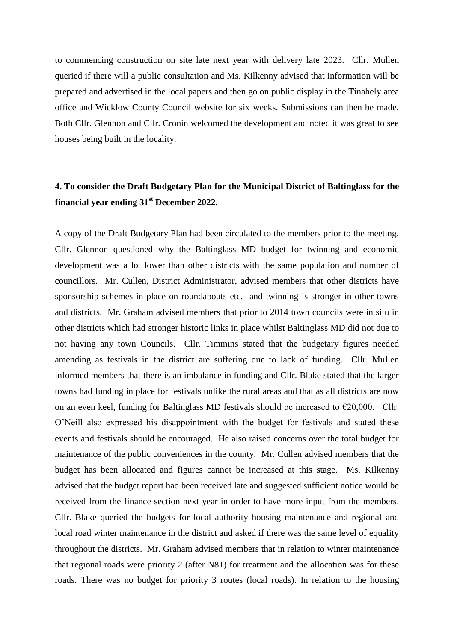to commencing construction on site late next year with delivery late 2023. Cllr. Mullen queried if there will a public consultation and Ms. Kilkenny advised that information will be prepared and advertised in the local papers and then go on public display in the Tinahely area office and Wicklow County Council website for six weeks. Submissions can then be made. Both Cllr. Glennon and Cllr. Cronin welcomed the development and noted it was great to see houses being built in the locality.

## **4. To consider the Draft Budgetary Plan for the Municipal District of Baltinglass for the financial year ending 31st December 2022.**

A copy of the Draft Budgetary Plan had been circulated to the members prior to the meeting. Cllr. Glennon questioned why the Baltinglass MD budget for twinning and economic development was a lot lower than other districts with the same population and number of councillors. Mr. Cullen, District Administrator, advised members that other districts have sponsorship schemes in place on roundabouts etc. and twinning is stronger in other towns and districts. Mr. Graham advised members that prior to 2014 town councils were in situ in other districts which had stronger historic links in place whilst Baltinglass MD did not due to not having any town Councils. Cllr. Timmins stated that the budgetary figures needed amending as festivals in the district are suffering due to lack of funding. Cllr. Mullen informed members that there is an imbalance in funding and Cllr. Blake stated that the larger towns had funding in place for festivals unlike the rural areas and that as all districts are now on an even keel, funding for Baltinglass MD festivals should be increased to  $\epsilon$ 20,000. Cllr. O'Neill also expressed his disappointment with the budget for festivals and stated these events and festivals should be encouraged. He also raised concerns over the total budget for maintenance of the public conveniences in the county. Mr. Cullen advised members that the budget has been allocated and figures cannot be increased at this stage. Ms. Kilkenny advised that the budget report had been received late and suggested sufficient notice would be received from the finance section next year in order to have more input from the members. Cllr. Blake queried the budgets for local authority housing maintenance and regional and local road winter maintenance in the district and asked if there was the same level of equality throughout the districts. Mr. Graham advised members that in relation to winter maintenance that regional roads were priority 2 (after N81) for treatment and the allocation was for these roads. There was no budget for priority 3 routes (local roads). In relation to the housing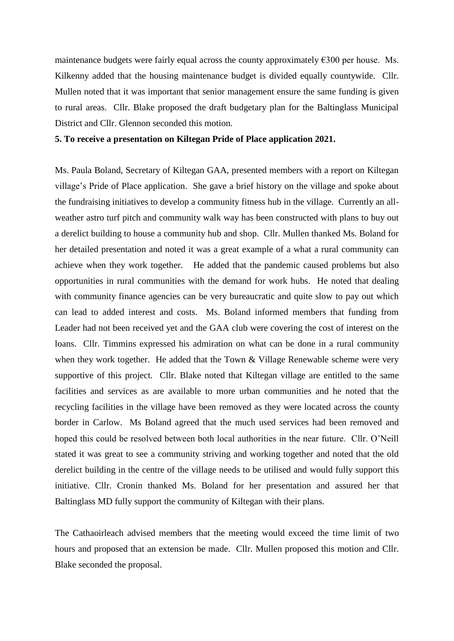maintenance budgets were fairly equal across the county approximately  $\epsilon$ 300 per house. Ms. Kilkenny added that the housing maintenance budget is divided equally countywide. Cllr. Mullen noted that it was important that senior management ensure the same funding is given to rural areas. Cllr. Blake proposed the draft budgetary plan for the Baltinglass Municipal District and Cllr. Glennon seconded this motion.

#### **5. To receive a presentation on Kiltegan Pride of Place application 2021.**

Ms. Paula Boland, Secretary of Kiltegan GAA, presented members with a report on Kiltegan village's Pride of Place application. She gave a brief history on the village and spoke about the fundraising initiatives to develop a community fitness hub in the village. Currently an allweather astro turf pitch and community walk way has been constructed with plans to buy out a derelict building to house a community hub and shop. Cllr. Mullen thanked Ms. Boland for her detailed presentation and noted it was a great example of a what a rural community can achieve when they work together. He added that the pandemic caused problems but also opportunities in rural communities with the demand for work hubs. He noted that dealing with community finance agencies can be very bureaucratic and quite slow to pay out which can lead to added interest and costs. Ms. Boland informed members that funding from Leader had not been received yet and the GAA club were covering the cost of interest on the loans. Cllr. Timmins expressed his admiration on what can be done in a rural community when they work together. He added that the Town & Village Renewable scheme were very supportive of this project. Cllr. Blake noted that Kiltegan village are entitled to the same facilities and services as are available to more urban communities and he noted that the recycling facilities in the village have been removed as they were located across the county border in Carlow. Ms Boland agreed that the much used services had been removed and hoped this could be resolved between both local authorities in the near future. Cllr. O'Neill stated it was great to see a community striving and working together and noted that the old derelict building in the centre of the village needs to be utilised and would fully support this initiative. Cllr. Cronin thanked Ms. Boland for her presentation and assured her that Baltinglass MD fully support the community of Kiltegan with their plans.

The Cathaoirleach advised members that the meeting would exceed the time limit of two hours and proposed that an extension be made. Cllr. Mullen proposed this motion and Cllr. Blake seconded the proposal.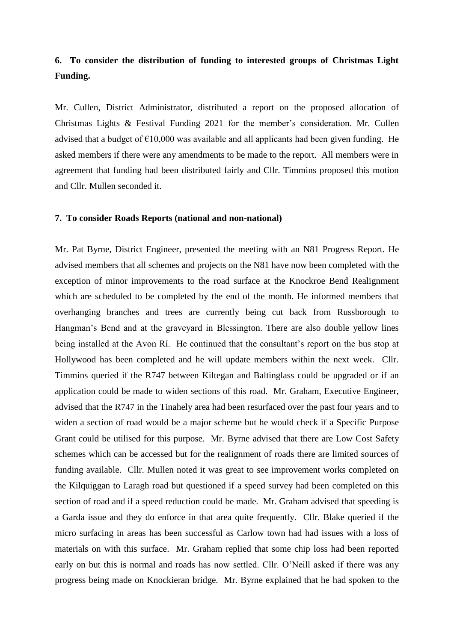## **6. To consider the distribution of funding to interested groups of Christmas Light Funding.**

Mr. Cullen, District Administrator, distributed a report on the proposed allocation of Christmas Lights & Festival Funding 2021 for the member's consideration. Mr. Cullen advised that a budget of  $\epsilon$ 10,000 was available and all applicants had been given funding. He asked members if there were any amendments to be made to the report. All members were in agreement that funding had been distributed fairly and Cllr. Timmins proposed this motion and Cllr. Mullen seconded it.

#### **7. To consider Roads Reports (national and non-national)**

Mr. Pat Byrne, District Engineer, presented the meeting with an N81 Progress Report. He advised members that all schemes and projects on the N81 have now been completed with the exception of minor improvements to the road surface at the Knockroe Bend Realignment which are scheduled to be completed by the end of the month. He informed members that overhanging branches and trees are currently being cut back from Russborough to Hangman's Bend and at the graveyard in Blessington. There are also double yellow lines being installed at the Avon Rí. He continued that the consultant's report on the bus stop at Hollywood has been completed and he will update members within the next week. Cllr. Timmins queried if the R747 between Kiltegan and Baltinglass could be upgraded or if an application could be made to widen sections of this road. Mr. Graham, Executive Engineer, advised that the R747 in the Tinahely area had been resurfaced over the past four years and to widen a section of road would be a major scheme but he would check if a Specific Purpose Grant could be utilised for this purpose. Mr. Byrne advised that there are Low Cost Safety schemes which can be accessed but for the realignment of roads there are limited sources of funding available. Cllr. Mullen noted it was great to see improvement works completed on the Kilquiggan to Laragh road but questioned if a speed survey had been completed on this section of road and if a speed reduction could be made. Mr. Graham advised that speeding is a Garda issue and they do enforce in that area quite frequently. Cllr. Blake queried if the micro surfacing in areas has been successful as Carlow town had had issues with a loss of materials on with this surface. Mr. Graham replied that some chip loss had been reported early on but this is normal and roads has now settled. Cllr. O'Neill asked if there was any progress being made on Knockieran bridge. Mr. Byrne explained that he had spoken to the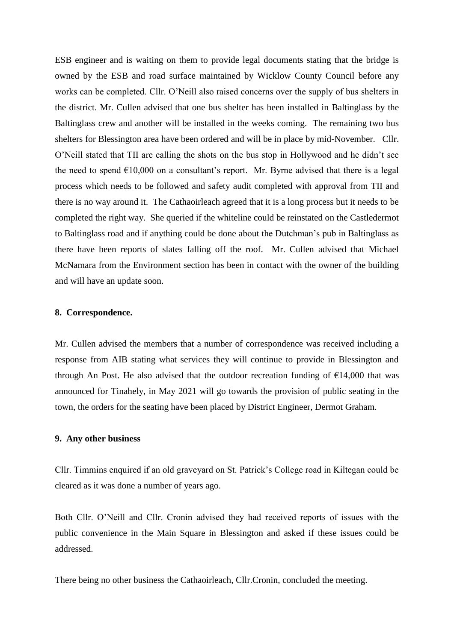ESB engineer and is waiting on them to provide legal documents stating that the bridge is owned by the ESB and road surface maintained by Wicklow County Council before any works can be completed. Cllr. O'Neill also raised concerns over the supply of bus shelters in the district. Mr. Cullen advised that one bus shelter has been installed in Baltinglass by the Baltinglass crew and another will be installed in the weeks coming. The remaining two bus shelters for Blessington area have been ordered and will be in place by mid-November. Cllr. O'Neill stated that TII are calling the shots on the bus stop in Hollywood and he didn't see the need to spend  $\epsilon$ 10,000 on a consultant's report. Mr. Byrne advised that there is a legal process which needs to be followed and safety audit completed with approval from TII and there is no way around it. The Cathaoirleach agreed that it is a long process but it needs to be completed the right way. She queried if the whiteline could be reinstated on the Castledermot to Baltinglass road and if anything could be done about the Dutchman's pub in Baltinglass as there have been reports of slates falling off the roof. Mr. Cullen advised that Michael McNamara from the Environment section has been in contact with the owner of the building and will have an update soon.

#### **8. Correspondence.**

Mr. Cullen advised the members that a number of correspondence was received including a response from AIB stating what services they will continue to provide in Blessington and through An Post. He also advised that the outdoor recreation funding of  $\epsilon$ 14,000 that was announced for Tinahely, in May 2021 will go towards the provision of public seating in the town, the orders for the seating have been placed by District Engineer, Dermot Graham.

#### **9. Any other business**

Cllr. Timmins enquired if an old graveyard on St. Patrick's College road in Kiltegan could be cleared as it was done a number of years ago.

Both Cllr. O'Neill and Cllr. Cronin advised they had received reports of issues with the public convenience in the Main Square in Blessington and asked if these issues could be addressed.

There being no other business the Cathaoirleach, Cllr.Cronin, concluded the meeting.